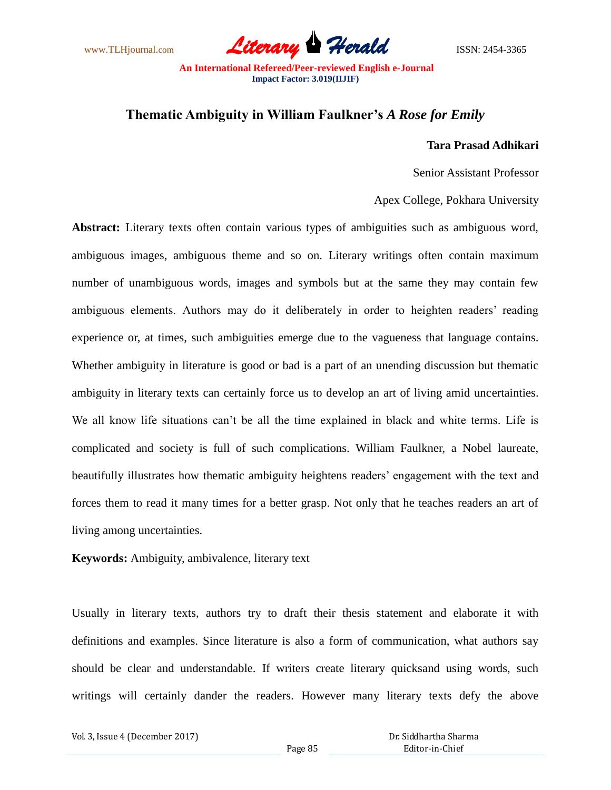www.TLHjournal.com *Literary Herald*ISSN: 2454-3365

## **Thematic Ambiguity in William Faulkner's** *A Rose for Emily*

## **Tara Prasad Adhikari**

Senior Assistant Professor

Apex College, Pokhara University

**Abstract:** Literary texts often contain various types of ambiguities such as ambiguous word, ambiguous images, ambiguous theme and so on. Literary writings often contain maximum number of unambiguous words, images and symbols but at the same they may contain few ambiguous elements. Authors may do it deliberately in order to heighten readers' reading experience or, at times, such ambiguities emerge due to the vagueness that language contains. Whether ambiguity in literature is good or bad is a part of an unending discussion but thematic ambiguity in literary texts can certainly force us to develop an art of living amid uncertainties. We all know life situations can't be all the time explained in black and white terms. Life is complicated and society is full of such complications. William Faulkner, a Nobel laureate, beautifully illustrates how thematic ambiguity heightens readers' engagement with the text and forces them to read it many times for a better grasp. Not only that he teaches readers an art of living among uncertainties.

**Keywords:** Ambiguity, ambivalence, literary text

Usually in literary texts, authors try to draft their thesis statement and elaborate it with definitions and examples. Since literature is also a form of communication, what authors say should be clear and understandable. If writers create literary quicksand using words, such writings will certainly dander the readers. However many literary texts defy the above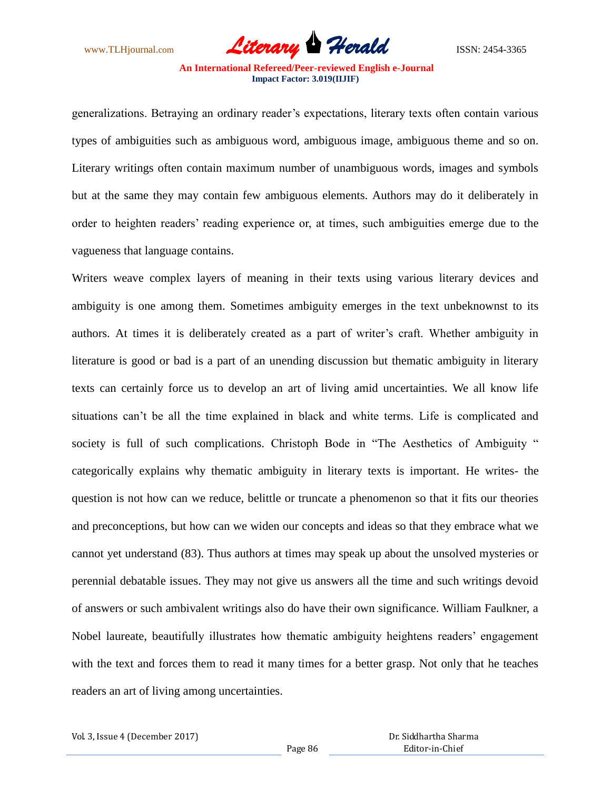www.TLHjournal.com *Literary Herald*ISSN: 2454-3365

generalizations. Betraying an ordinary reader's expectations, literary texts often contain various types of ambiguities such as ambiguous word, ambiguous image, ambiguous theme and so on. Literary writings often contain maximum number of unambiguous words, images and symbols but at the same they may contain few ambiguous elements. Authors may do it deliberately in order to heighten readers' reading experience or, at times, such ambiguities emerge due to the vagueness that language contains.

Writers weave complex layers of meaning in their texts using various literary devices and ambiguity is one among them. Sometimes ambiguity emerges in the text unbeknownst to its authors. At times it is deliberately created as a part of writer's craft. Whether ambiguity in literature is good or bad is a part of an unending discussion but thematic ambiguity in literary texts can certainly force us to develop an art of living amid uncertainties. We all know life situations can't be all the time explained in black and white terms. Life is complicated and society is full of such complications. Christoph Bode in "The Aesthetics of Ambiguity " categorically explains why thematic ambiguity in literary texts is important. He writes- the question is not how can we reduce, belittle or truncate a phenomenon so that it fits our theories and preconceptions, but how can we widen our concepts and ideas so that they embrace what we cannot yet understand (83). Thus authors at times may speak up about the unsolved mysteries or perennial debatable issues. They may not give us answers all the time and such writings devoid of answers or such ambivalent writings also do have their own significance. William Faulkner, a Nobel laureate, beautifully illustrates how thematic ambiguity heightens readers' engagement with the text and forces them to read it many times for a better grasp. Not only that he teaches readers an art of living among uncertainties.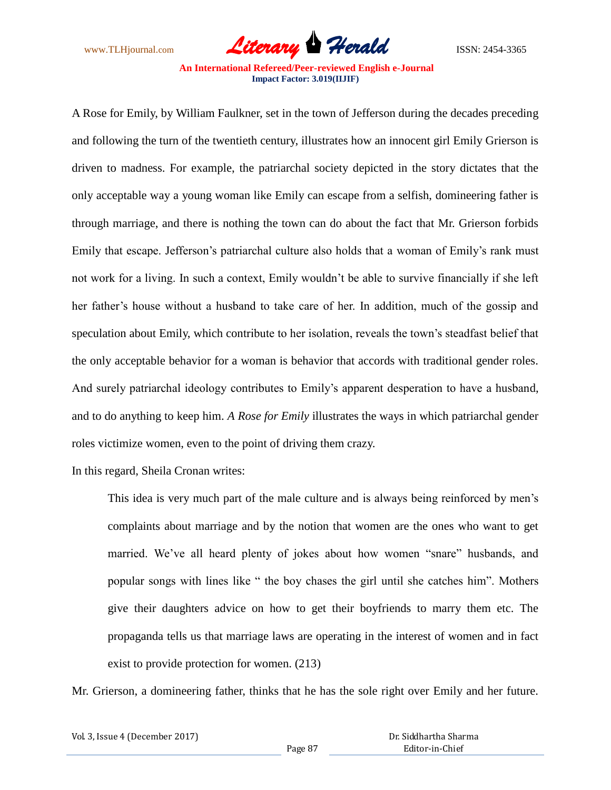www.TLHjournal.com *Literary Herald*ISSN: 2454-3365

A Rose for Emily, by William Faulkner, set in the town of Jefferson during the decades preceding and following the turn of the twentieth century, illustrates how an innocent girl Emily Grierson is driven to madness. For example, the patriarchal society depicted in the story dictates that the only acceptable way a young woman like Emily can escape from a selfish, domineering father is through marriage, and there is nothing the town can do about the fact that Mr. Grierson forbids Emily that escape. Jefferson's patriarchal culture also holds that a woman of Emily's rank must not work for a living. In such a context, Emily wouldn't be able to survive financially if she left her father's house without a husband to take care of her. In addition, much of the gossip and speculation about Emily, which contribute to her isolation, reveals the town's steadfast belief that the only acceptable behavior for a woman is behavior that accords with traditional gender roles. And surely patriarchal ideology contributes to Emily's apparent desperation to have a husband, and to do anything to keep him. *A Rose for Emily* illustrates the ways in which patriarchal gender roles victimize women, even to the point of driving them crazy.

In this regard, Sheila Cronan writes:

This idea is very much part of the male culture and is always being reinforced by men's complaints about marriage and by the notion that women are the ones who want to get married. We've all heard plenty of jokes about how women "snare" husbands, and popular songs with lines like " the boy chases the girl until she catches him". Mothers give their daughters advice on how to get their boyfriends to marry them etc. The propaganda tells us that marriage laws are operating in the interest of women and in fact exist to provide protection for women. (213)

Mr. Grierson, a domineering father, thinks that he has the sole right over Emily and her future.

| Vol. 3, Issue 4 (December 2017) |         | Dr. S |
|---------------------------------|---------|-------|
|                                 | Page 87 |       |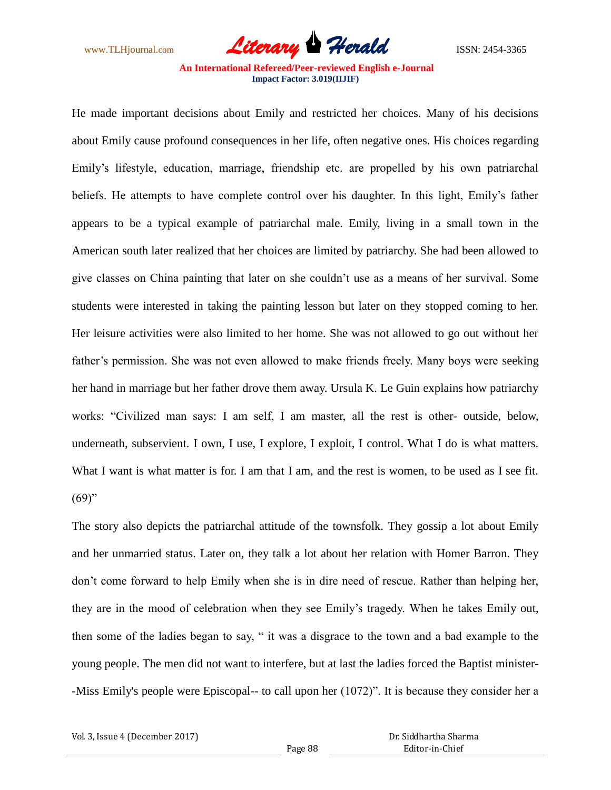www.TLHjournal.com *Literary Herald*ISSN: 2454-3365

He made important decisions about Emily and restricted her choices. Many of his decisions about Emily cause profound consequences in her life, often negative ones. His choices regarding Emily's lifestyle, education, marriage, friendship etc. are propelled by his own patriarchal beliefs. He attempts to have complete control over his daughter. In this light, Emily's father appears to be a typical example of patriarchal male. Emily, living in a small town in the American south later realized that her choices are limited by patriarchy. She had been allowed to give classes on China painting that later on she couldn't use as a means of her survival. Some students were interested in taking the painting lesson but later on they stopped coming to her. Her leisure activities were also limited to her home. She was not allowed to go out without her father's permission. She was not even allowed to make friends freely. Many boys were seeking her hand in marriage but her father drove them away. Ursula K. Le Guin explains how patriarchy works: "Civilized man says: I am self, I am master, all the rest is other- outside, below, underneath, subservient. I own, I use, I explore, I exploit, I control. What I do is what matters. What I want is what matter is for. I am that I am, and the rest is women, to be used as I see fit.  $(69)$ "

The story also depicts the patriarchal attitude of the townsfolk. They gossip a lot about Emily and her unmarried status. Later on, they talk a lot about her relation with Homer Barron. They don't come forward to help Emily when she is in dire need of rescue. Rather than helping her, they are in the mood of celebration when they see Emily's tragedy. When he takes Emily out, then some of the ladies began to say, " it was a disgrace to the town and a bad example to the young people. The men did not want to interfere, but at last the ladies forced the Baptist minister- -Miss Emily's people were Episcopal-- to call upon her (1072)". It is because they consider her a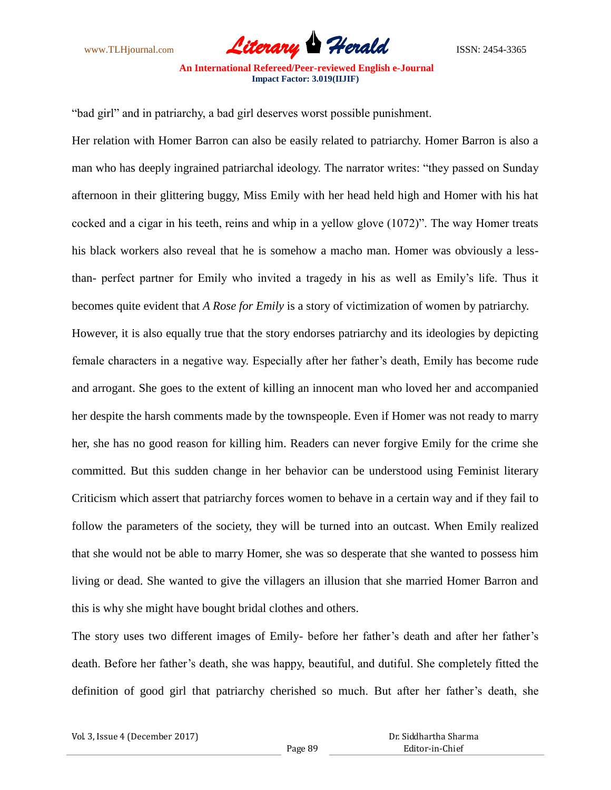www.TLHjournal.com *Literary Herald*ISSN: 2454-3365

"bad girl" and in patriarchy, a bad girl deserves worst possible punishment.

Her relation with Homer Barron can also be easily related to patriarchy. Homer Barron is also a man who has deeply ingrained patriarchal ideology. The narrator writes: "they passed on Sunday afternoon in their glittering buggy, Miss Emily with her head held high and Homer with his hat cocked and a cigar in his teeth, reins and whip in a yellow glove (1072)". The way Homer treats his black workers also reveal that he is somehow a macho man. Homer was obviously a lessthan- perfect partner for Emily who invited a tragedy in his as well as Emily's life. Thus it becomes quite evident that *A Rose for Emily* is a story of victimization of women by patriarchy. However, it is also equally true that the story endorses patriarchy and its ideologies by depicting female characters in a negative way. Especially after her father's death, Emily has become rude and arrogant. She goes to the extent of killing an innocent man who loved her and accompanied her despite the harsh comments made by the townspeople. Even if Homer was not ready to marry her, she has no good reason for killing him. Readers can never forgive Emily for the crime she committed. But this sudden change in her behavior can be understood using Feminist literary Criticism which assert that patriarchy forces women to behave in a certain way and if they fail to follow the parameters of the society, they will be turned into an outcast. When Emily realized

that she would not be able to marry Homer, she was so desperate that she wanted to possess him living or dead. She wanted to give the villagers an illusion that she married Homer Barron and this is why she might have bought bridal clothes and others.

The story uses two different images of Emily- before her father's death and after her father's death. Before her father's death, she was happy, beautiful, and dutiful. She completely fitted the definition of good girl that patriarchy cherished so much. But after her father's death, she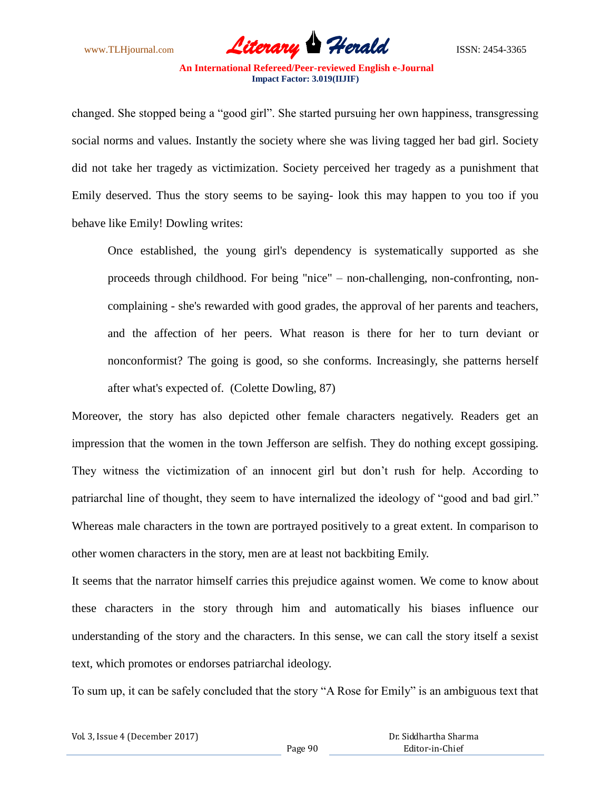www.TLHjournal.com *Literary Herald*ISSN: 2454-3365

changed. She stopped being a "good girl". She started pursuing her own happiness, transgressing social norms and values. Instantly the society where she was living tagged her bad girl. Society did not take her tragedy as victimization. Society perceived her tragedy as a punishment that Emily deserved. Thus the story seems to be saying- look this may happen to you too if you behave like Emily! Dowling writes:

Once established, the young girl's dependency is systematically supported as she proceeds through childhood. For being "nice" – non-challenging, non-confronting, noncomplaining - she's rewarded with good grades, the approval of her parents and teachers, and the affection of her peers. What reason is there for her to turn deviant or nonconformist? The going is good, so she conforms. Increasingly, she patterns herself after what's expected of. (Colette Dowling, 87)

Moreover, the story has also depicted other female characters negatively. Readers get an impression that the women in the town Jefferson are selfish. They do nothing except gossiping. They witness the victimization of an innocent girl but don't rush for help. According to patriarchal line of thought, they seem to have internalized the ideology of "good and bad girl." Whereas male characters in the town are portrayed positively to a great extent. In comparison to other women characters in the story, men are at least not backbiting Emily.

It seems that the narrator himself carries this prejudice against women. We come to know about these characters in the story through him and automatically his biases influence our understanding of the story and the characters. In this sense, we can call the story itself a sexist text, which promotes or endorses patriarchal ideology.

To sum up, it can be safely concluded that the story "A Rose for Emily" is an ambiguous text that